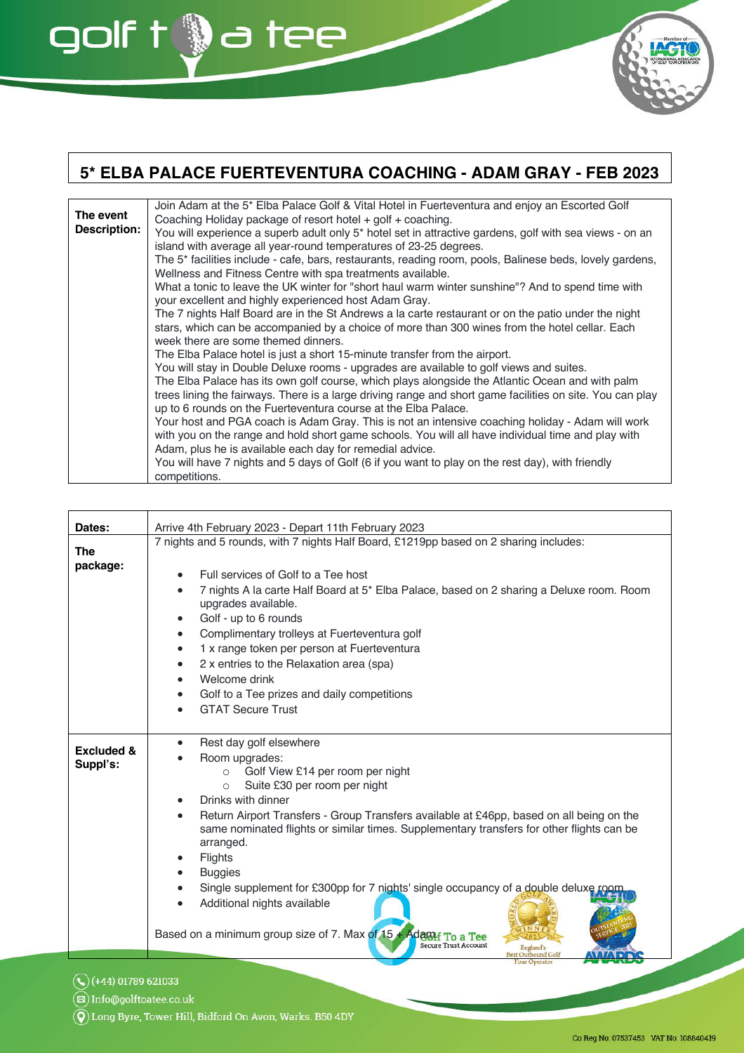

## **5\* ELBA PALACE FUERTEVENTURA COACHING - ADAM GRAY - FEB 2023**

golf t **D**a tee

|              | Join Adam at the 5 <sup>*</sup> Elba Palace Golf & Vital Hotel in Fuerteventura and enjoy an Escorted Golf           |
|--------------|----------------------------------------------------------------------------------------------------------------------|
| The event    | Coaching Holiday package of resort hotel + golf + coaching.                                                          |
| Description: | You will experience a superb adult only 5 <sup>*</sup> hotel set in attractive gardens, golf with sea views - on an  |
|              | island with average all year-round temperatures of 23-25 degrees.                                                    |
|              | The 5 <sup>*</sup> facilities include - cafe, bars, restaurants, reading room, pools, Balinese beds, lovely gardens, |
|              | Wellness and Fitness Centre with spa treatments available.                                                           |
|              | What a tonic to leave the UK winter for "short haul warm winter sunshine"? And to spend time with                    |
|              | your excellent and highly experienced host Adam Gray.                                                                |
|              | The 7 nights Half Board are in the St Andrews a la carte restaurant or on the patio under the night                  |
|              | stars, which can be accompanied by a choice of more than 300 wines from the hotel cellar. Each                       |
|              | week there are some themed dinners.                                                                                  |
|              | The Elba Palace hotel is just a short 15-minute transfer from the airport.                                           |
|              | You will stay in Double Deluxe rooms - upgrades are available to golf views and suites.                              |
|              | The Elba Palace has its own golf course, which plays alongside the Atlantic Ocean and with palm                      |
|              | trees lining the fairways. There is a large driving range and short game facilities on site. You can play            |
|              | up to 6 rounds on the Fuerteventura course at the Elba Palace.                                                       |
|              | Your host and PGA coach is Adam Gray. This is not an intensive coaching holiday - Adam will work                     |
|              | with you on the range and hold short game schools. You will all have individual time and play with                   |
|              | Adam, plus he is available each day for remedial advice.                                                             |
|              | You will have 7 nights and 5 days of Golf (6 if you want to play on the rest day), with friendly                     |
|              | competitions.                                                                                                        |

|                       | Arrive 4th February 2023 - Depart 11th February 2023<br>7 nights and 5 rounds, with 7 nights Half Board, £1219pp based on 2 sharing includes: |  |  |  |  |  |
|-----------------------|-----------------------------------------------------------------------------------------------------------------------------------------------|--|--|--|--|--|
| <b>The</b>            |                                                                                                                                               |  |  |  |  |  |
| package:              | Full services of Golf to a Tee host                                                                                                           |  |  |  |  |  |
|                       | 7 nights A la carte Half Board at 5* Elba Palace, based on 2 sharing a Deluxe room. Room<br>upgrades available.                               |  |  |  |  |  |
|                       | Golf - up to 6 rounds                                                                                                                         |  |  |  |  |  |
|                       | Complimentary trolleys at Fuerteventura golf                                                                                                  |  |  |  |  |  |
|                       | 1 x range token per person at Fuerteventura                                                                                                   |  |  |  |  |  |
|                       | 2 x entries to the Relaxation area (spa)                                                                                                      |  |  |  |  |  |
|                       | Welcome drink                                                                                                                                 |  |  |  |  |  |
|                       | Golf to a Tee prizes and daily competitions                                                                                                   |  |  |  |  |  |
|                       | <b>GTAT Secure Trust</b>                                                                                                                      |  |  |  |  |  |
|                       |                                                                                                                                               |  |  |  |  |  |
| <b>Excluded &amp;</b> | Rest day golf elsewhere                                                                                                                       |  |  |  |  |  |
| Suppl's:              | Room upgrades:                                                                                                                                |  |  |  |  |  |
|                       | Golf View £14 per room per night<br>$\circ$<br>Suite £30 per room per night                                                                   |  |  |  |  |  |
|                       | $\circ$<br>Drinks with dinner                                                                                                                 |  |  |  |  |  |
|                       | Return Airport Transfers - Group Transfers available at £46pp, based on all being on the                                                      |  |  |  |  |  |
|                       | same nominated flights or similar times. Supplementary transfers for other flights can be                                                     |  |  |  |  |  |
|                       | arranged.                                                                                                                                     |  |  |  |  |  |
|                       | Flights                                                                                                                                       |  |  |  |  |  |
|                       | <b>Buggies</b>                                                                                                                                |  |  |  |  |  |
|                       | Single supplement for £300pp for 7 nights' single occupancy of a double deluxe room<br>Additional nights available                            |  |  |  |  |  |
|                       |                                                                                                                                               |  |  |  |  |  |
|                       | Based on a minimum group size of 7. Max of 15 + Adam f To a Tee<br><b>Secure Trust Account</b>                                                |  |  |  |  |  |
| (+44) 01789 621033    |                                                                                                                                               |  |  |  |  |  |

 $\circledR$  Info@golftoatee.co.uk

(Q) Long Byre, Tower Hill, Bidford On Avon, Warks. B50 4DY

a.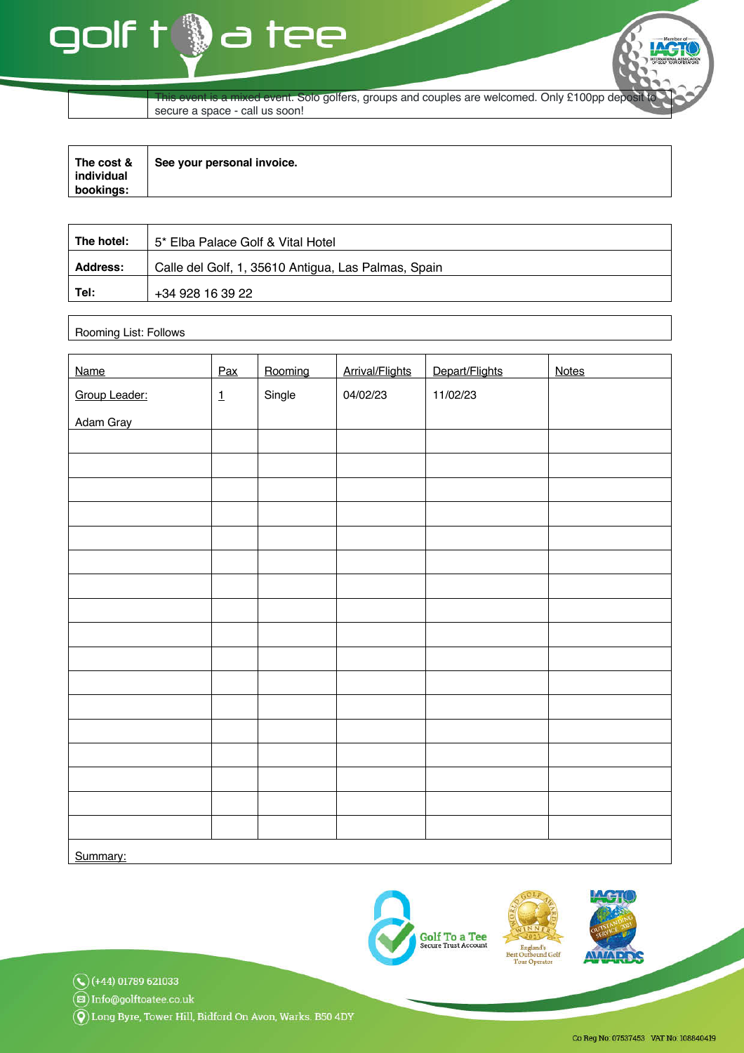

| The hotel:      | 5* Elba Palace Golf & Vital Hotel                   |
|-----------------|-----------------------------------------------------|
| <b>Address:</b> | Calle del Golf, 1, 35610 Antigua, Las Palmas, Spain |
| Tel:            | +34 928 16 39 22                                    |

## Rooming List: Follows

golf t **D**a tee

| <b>Name</b>   | Pax          | Rooming | <b>Arrival/Flights</b> | Depart/Flights | <b>Notes</b> |
|---------------|--------------|---------|------------------------|----------------|--------------|
| Group Leader: | $\mathbf{1}$ | Single  | 04/02/23               | 11/02/23       |              |
| Adam Gray     |              |         |                        |                |              |
|               |              |         |                        |                |              |
|               |              |         |                        |                |              |
|               |              |         |                        |                |              |
|               |              |         |                        |                |              |
|               |              |         |                        |                |              |
|               |              |         |                        |                |              |
|               |              |         |                        |                |              |
|               |              |         |                        |                |              |
|               |              |         |                        |                |              |
|               |              |         |                        |                |              |
|               |              |         |                        |                |              |
|               |              |         |                        |                |              |
|               |              |         |                        |                |              |
|               |              |         |                        |                |              |
|               |              |         |                        |                |              |
|               |              |         |                        |                |              |
|               |              |         |                        |                |              |
| Summary:      |              |         |                        |                |              |

<u>Summary:</u>







 $\tilde{(\bar{\mathbf{Q}}})$ Long Byre, Tower Hill, Bidford On Avon, Warks. B50 4DY

**LAGTO**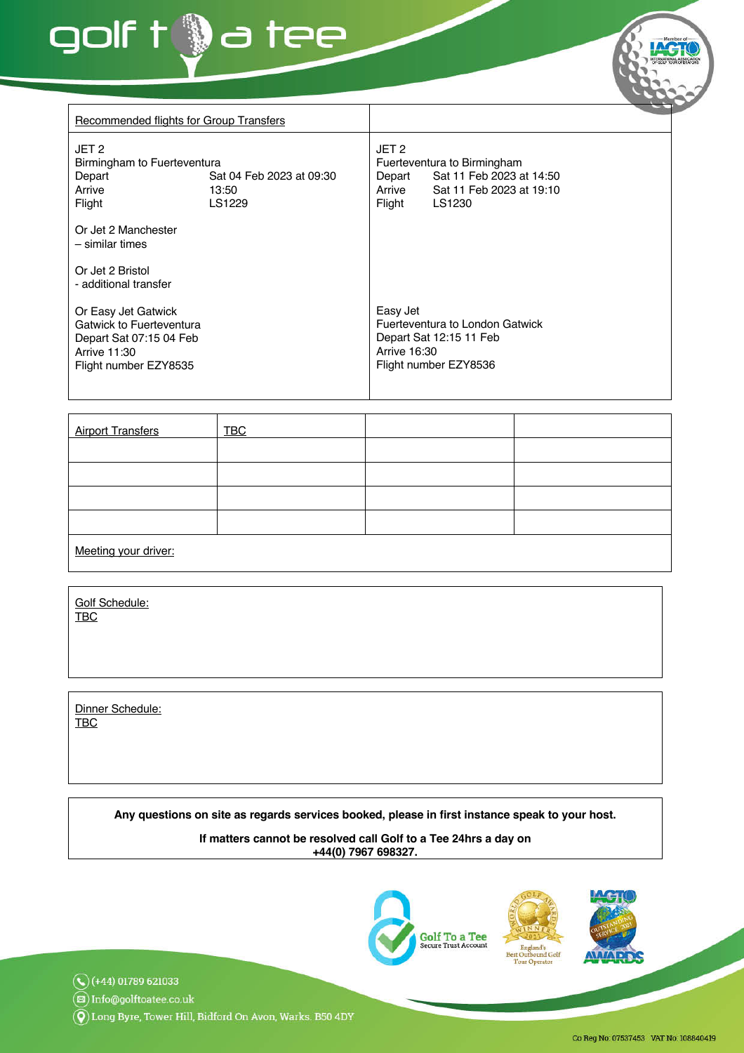



| <b>Recommended flights for Group Transfers</b>                                                                          |                                             |                                                                                                                                                 |  |
|-------------------------------------------------------------------------------------------------------------------------|---------------------------------------------|-------------------------------------------------------------------------------------------------------------------------------------------------|--|
| JET <sub>2</sub><br>Birmingham to Fuerteventura<br>Depart<br>Arrive<br>Flight<br>Or Jet 2 Manchester<br>– similar times | Sat 04 Feb 2023 at 09:30<br>13:50<br>LS1229 | JET <sub>2</sub><br>Fuerteventura to Birmingham<br>Sat 11 Feb 2023 at 14:50<br>Depart<br>Arrive<br>Sat 11 Feb 2023 at 19:10<br>Flight<br>LS1230 |  |
| Or Jet 2 Bristol<br>- additional transfer                                                                               |                                             |                                                                                                                                                 |  |
| Or Easy Jet Gatwick<br>Gatwick to Fuerteventura<br>Depart Sat 07:15 04 Feb<br>Arrive 11:30<br>Flight number EZY8535     |                                             | Easy Jet<br>Fuerteventura to London Gatwick<br>Depart Sat 12:15 11 Feb<br>Arrive 16:30<br>Flight number EZY8536                                 |  |

| <b>Airport Transfers</b> | <b>TBC</b> |  |  |
|--------------------------|------------|--|--|
|                          |            |  |  |
|                          |            |  |  |
|                          |            |  |  |
|                          |            |  |  |
| Meeting your driver:     |            |  |  |

Golf Schedule:

TBC

Dinner Schedule: TBC

**Any questions on site as regards services booked, please in first instance speak to your host.**

**If matters cannot be resolved call Golf to a Tee 24hrs a day on +44(0) 7967 698327.**



 $\mathcal{O}(+44)$  01789 621033

- $\circledR$  Info@golftoatee.co.uk
- $\tilde{(\bar{\mathbf{Q}}})$ Long Byre, Tower Hill, Bidford On Avon, Warks. B50 4DY